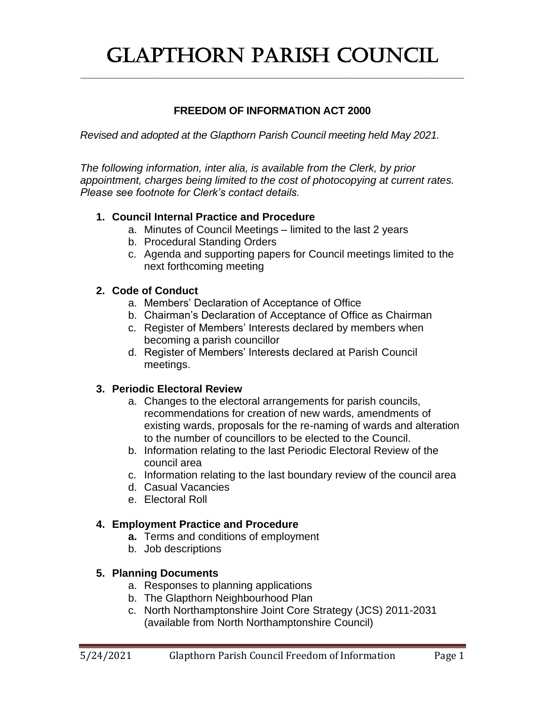# Glapthorn Parish Council

**\_\_\_\_\_\_\_\_\_\_\_\_\_\_\_\_\_\_\_\_\_\_\_\_\_\_\_\_\_\_\_\_\_\_\_\_\_\_\_\_\_\_\_\_\_\_\_\_\_\_\_\_\_\_\_\_\_\_\_\_\_\_\_\_\_\_**

## **FREEDOM OF INFORMATION ACT 2000**

*Revised and adopted at the Glapthorn Parish Council meeting held May 2021.*

*The following information, inter alia, is available from the Clerk, by prior appointment, charges being limited to the cost of photocopying at current rates. Please see footnote for Clerk's contact details.*

## **1. Council Internal Practice and Procedure**

- a. Minutes of Council Meetings limited to the last 2 years
- b. Procedural Standing Orders
- c. Agenda and supporting papers for Council meetings limited to the next forthcoming meeting

## **2. Code of Conduct**

- a. Members' Declaration of Acceptance of Office
- b. Chairman's Declaration of Acceptance of Office as Chairman
- c. Register of Members' Interests declared by members when becoming a parish councillor
- d. Register of Members' Interests declared at Parish Council meetings.

## **3. Periodic Electoral Review**

- a. Changes to the electoral arrangements for parish councils, recommendations for creation of new wards, amendments of existing wards, proposals for the re-naming of wards and alteration to the number of councillors to be elected to the Council.
- b. Information relating to the last Periodic Electoral Review of the council area
- c. Information relating to the last boundary review of the council area
- d. Casual Vacancies
- e. Electoral Roll

## **4. Employment Practice and Procedure**

- **a.** Terms and conditions of employment
- b. Job descriptions

## **5. Planning Documents**

- a. Responses to planning applications
- b. The Glapthorn Neighbourhood Plan
- c. North Northamptonshire Joint Core Strategy (JCS) 2011-2031 (available from North Northamptonshire Council)